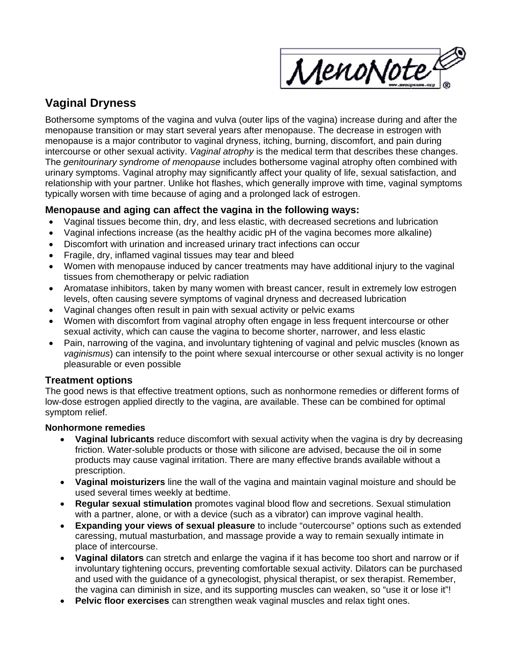

# **Vaginal Dryness**

Bothersome symptoms of the vagina and vulva (outer lips of the vagina) increase during and after the menopause transition or may start several years after menopause. The decrease in estrogen with menopause is a major contributor to vaginal dryness, itching, burning, discomfort, and pain during intercourse or other sexual activity. *Vaginal atrophy* is the medical term that describes these changes. The *genitourinary syndrome of menopause* includes bothersome vaginal atrophy often combined with urinary symptoms. Vaginal atrophy may significantly affect your quality of life, sexual satisfaction, and relationship with your partner. Unlike hot flashes, which generally improve with time, vaginal symptoms typically worsen with time because of aging and a prolonged lack of estrogen.

# **Menopause and aging can affect the vagina in the following ways:**

- Vaginal tissues become thin, dry, and less elastic, with decreased secretions and lubrication
- Vaginal infections increase (as the healthy acidic pH of the vagina becomes more alkaline)
- Discomfort with urination and increased urinary tract infections can occur
- Fragile, dry, inflamed vaginal tissues may tear and bleed
- Women with menopause induced by cancer treatments may have additional injury to the vaginal tissues from chemotherapy or pelvic radiation
- Aromatase inhibitors, taken by many women with breast cancer, result in extremely low estrogen levels, often causing severe symptoms of vaginal dryness and decreased lubrication
- Vaginal changes often result in pain with sexual activity or pelvic exams
- Women with discomfort from vaginal atrophy often engage in less frequent intercourse or other sexual activity, which can cause the vagina to become shorter, narrower, and less elastic
- Pain, narrowing of the vagina, and involuntary tightening of vaginal and pelvic muscles (known as *vaginismus*) can intensify to the point where sexual intercourse or other sexual activity is no longer pleasurable or even possible

# **Treatment options**

The good news is that effective treatment options, such as nonhormone remedies or different forms of low-dose estrogen applied directly to the vagina, are available. These can be combined for optimal symptom relief.

## **Nonhormone remedies**

- **Vaginal lubricants** reduce discomfort with sexual activity when the vagina is dry by decreasing friction. Water-soluble products or those with silicone are advised, because the oil in some products may cause vaginal irritation. There are many effective brands available without a prescription.
- **Vaginal moisturizers** line the wall of the vagina and maintain vaginal moisture and should be used several times weekly at bedtime.
- **Regular sexual stimulation** promotes vaginal blood flow and secretions. Sexual stimulation with a partner, alone, or with a device (such as a vibrator) can improve vaginal health.
- **Expanding your views of sexual pleasure** to include "outercourse" options such as extended caressing, mutual masturbation, and massage provide a way to remain sexually intimate in place of intercourse.
- **Vaginal dilators** can stretch and enlarge the vagina if it has become too short and narrow or if involuntary tightening occurs, preventing comfortable sexual activity. Dilators can be purchased and used with the guidance of a gynecologist, physical therapist, or sex therapist. Remember, the vagina can diminish in size, and its supporting muscles can weaken, so "use it or lose it"!
- **Pelvic floor exercises** can strengthen weak vaginal muscles and relax tight ones.